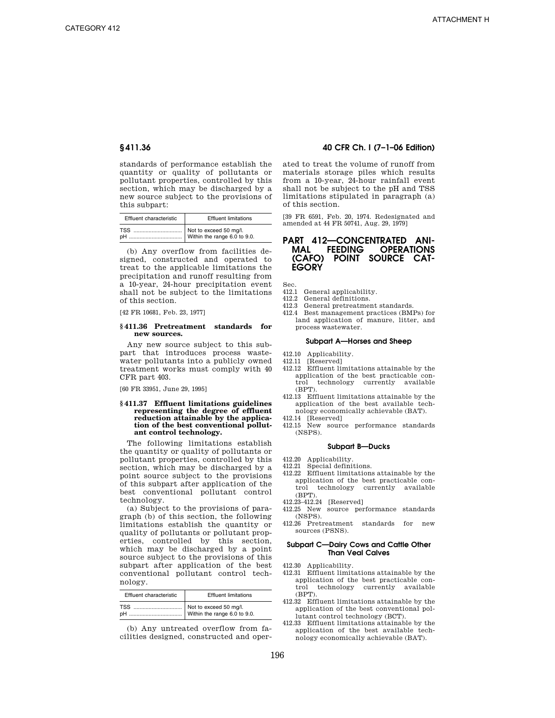standards of performance establish the quantity or quality of pollutants or pollutant properties, controlled by this section, which may be discharged by a new source subject to the provisions of this subpart:

| Effluent characteristic | <b>Effluent limitations</b> |  |  |
|-------------------------|-----------------------------|--|--|
|                         |                             |  |  |

(b) Any overflow from facilities designed, constructed and operated to treat to the applicable limitations the precipitation and runoff resulting from a 10-year, 24-hour precipitation event shall not be subject to the limitations of this section.

[42 FR 10681, Feb. 23, 1977]

# **§ 411.36 Pretreatment standards for new sources.**

Any new source subject to this subpart that introduces process wastewater pollutants into a publicly owned treatment works must comply with 40 CFR part 403.

[60 FR 33951, June 29, 1995]

# **§ 411.37 Effluent limitations guidelines representing the degree of effluent reduction attainable by the application of the best conventional pollutant control technology.**

The following limitations establish the quantity or quality of pollutants or pollutant properties, controlled by this section, which may be discharged by a point source subject to the provisions of this subpart after application of the best conventional pollutant control technology.

(a) Subject to the provisions of paragraph (b) of this section, the following limitations establish the quantity or quality of pollutants or pollutant properties, controlled by this section, which may be discharged by a point source subject to the provisions of this subpart after application of the best conventional pollutant control technology.

| Effluent characteristic | <b>Effluent limitations</b> |  |
|-------------------------|-----------------------------|--|
|                         |                             |  |

(b) Any untreated overflow from facilities designed, constructed and oper-

# **§ 411.36 40 CFR Ch. I (7–1–06 Edition)**

ated to treat the volume of runoff from materials storage piles which results from a 10-year, 24-hour rainfall event shall not be subject to the pH and TSS limitations stipulated in paragraph (a) of this section.

[39 FR 6591, Feb. 20, 1974. Redesignated and amended at 44 FR 50741, Aug. 29, 1979]

# **PART 412—CONCENTRATED ANI-MAL FEEDING OPERATIONS POINT SOURCE CAT-EGORY**

Sec.

- 412.1 General applicability.
- 412.2 General definitions.
- 412.3 General pretreatment standards.
- 412.4 Best management practices (BMPs) for land application of manure, litter, and process wastewater.

### **Subpart A—Horses and Sheep**

- 412.10 Applicability.
- 412.11 [Reserved]<br>412.12 Effluent lii
- Effluent limitations attainable by the application of the best practicable control technology currently (BPT).
- 412.13 Effluent limitations attainable by the application of the best available technology economically achievable (BAT).
- 412.14 [Reserved]
- 412.15 New source performance standards (NSPS).

### **Subpart B—Ducks**

- 412.20 Applicability.
- 412.21 Special definitions.
- 412.22 Effluent limitations attainable by the application of the best practicable control technology currently available (BPT).
- 412.23–412.24 [Reserved]
- 412.25 New source performance standards (NSPS).
- 412.26 Pretreatment standards for new sources (PSNS).

# **Subpart C—Dairy Cows and Cattle Other Than Veal Calves**

- 412.30 Applicability.
- 412.31 Effluent limitations attainable by the application of the best practicable control technology currently available (BPT).
- 412.32 Effluent limitations attainable by the application of the best conventional pollutant control technology (BCT).
- 412.33 Effluent limitations attainable by the application of the best available technology economically achievable (BAT).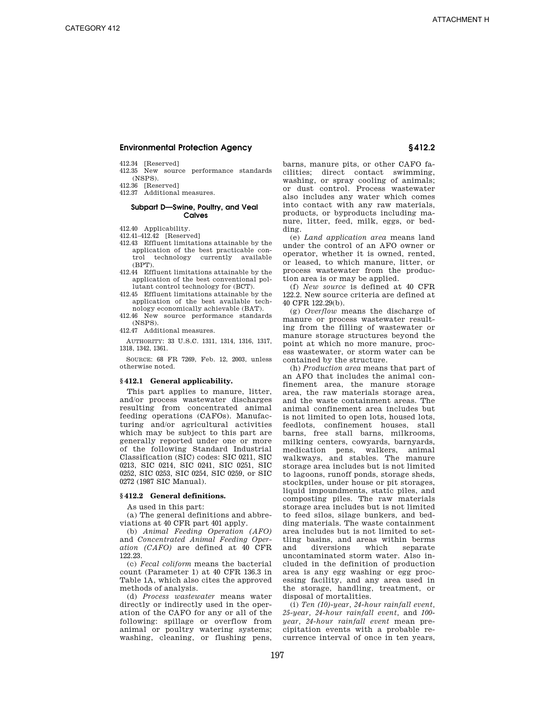- 412.34 [Reserved]
- 412.35 New source performance standards (NSPS).
- 412.36 [Reserved]
- 412.37 Additional measures.

# **Subpart D—Swine, Poultry, and Veal Calves**

- 412.40 Applicability.
- 412.41–412.42 [Reserved]
- 412.43 Effluent limitations attainable by the application of the best practicable control technology currently available (BPT).
- 412.44 Effluent limitations attainable by the application of the best conventional pollutant control technology for (BCT).
- 412.45 Effluent limitations attainable by the application of the best available technology economically achievable (BAT).
- 412.46 New source performance standards (NSPS).

412.47 Additional measures.

AUTHORITY: 33 U.S.C. 1311, 1314, 1316, 1317, 1318, 1342, 1361.

SOURCE: 68 FR 7269, Feb. 12, 2003, unless otherwise noted.

# **§ 412.1 General applicability.**

This part applies to manure, litter, and/or process wastewater discharges resulting from concentrated animal feeding operations (CAFOs). Manufacturing and/or agricultural activities which may be subject to this part are generally reported under one or more of the following Standard Industrial Classification (SIC) codes: SIC 0211, SIC 0213, SIC 0214, SIC 0241, SIC 0251, SIC 0252, SIC 0253, SIC 0254, SIC 0259, or SIC 0272 (1987 SIC Manual).

# **§ 412.2 General definitions.**

As used in this part:

(a) The general definitions and abbreviations at 40 CFR part 401 apply.

(b) *Animal Feeding Operation (AFO)*  and *Concentrated Animal Feeding Operation (CAFO)* are defined at 40 CFR 122.23.

(c) *Fecal coliform* means the bacterial count (Parameter 1) at 40 CFR 136.3 in Table 1A, which also cites the approved methods of analysis.

(d) *Process wastewater* means water directly or indirectly used in the operation of the CAFO for any or all of the following: spillage or overflow from animal or poultry watering systems; washing, cleaning, or flushing pens,

barns, manure pits, or other CAFO facilities; direct contact swimming, washing, or spray cooling of animals; or dust control. Process wastewater also includes any water which comes into contact with any raw materials, products, or byproducts including manure, litter, feed, milk, eggs, or bedding.

(e) *Land application area* means land under the control of an AFO owner or operator, whether it is owned, rented, or leased, to which manure, litter, or process wastewater from the production area is or may be applied.

(f) *New source* is defined at 40 CFR 122.2. New source criteria are defined at 40 CFR 122.29(b).

(g) *Overflow* means the discharge of manure or process wastewater resulting from the filling of wastewater or manure storage structures beyond the point at which no more manure, process wastewater, or storm water can be contained by the structure.

(h) *Production area* means that part of an AFO that includes the animal confinement area, the manure storage area, the raw materials storage area, and the waste containment areas. The animal confinement area includes but is not limited to open lots, housed lots, feedlots, confinement houses, stall barns, free stall barns, milkrooms, milking centers, cowyards, barnyards, medication pens, walkers, animal walkways, and stables. The manure storage area includes but is not limited to lagoons, runoff ponds, storage sheds, stockpiles, under house or pit storages, liquid impoundments, static piles, and composting piles. The raw materials storage area includes but is not limited to feed silos, silage bunkers, and bedding materials. The waste containment area includes but is not limited to settling basins, and areas within berms<br>and diversions which separate and diversions which separate uncontaminated storm water. Also included in the definition of production area is any egg washing or egg processing facility, and any area used in the storage, handling, treatment, or disposal of mortalities.

(i) *Ten (10)-year, 24-hour rainfall event, 25-year, 24-hour rainfall event,* and *100 year, 24-hour rainfall event* mean precipitation events with a probable recurrence interval of once in ten years,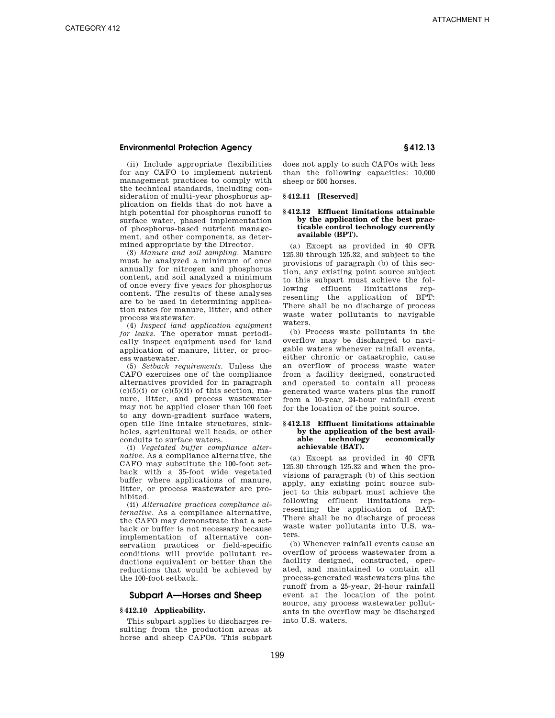(ii) Include appropriate flexibilities for any CAFO to implement nutrient management practices to comply with the technical standards, including consideration of multi-year phosphorus application on fields that do not have a high potential for phosphorus runoff to surface water, phased implementation of phosphorus-based nutrient management, and other components, as determined appropriate by the Director.

(3) *Manure and soil sampling.* Manure must be analyzed a minimum of once annually for nitrogen and phosphorus content, and soil analyzed a minimum of once every five years for phosphorus content. The results of these analyses are to be used in determining application rates for manure, litter, and other process wastewater.

(4) *Inspect land application equipment for leaks.* The operator must periodically inspect equipment used for land application of manure, litter, or process wastewater.

(5) *Setback requirements.* Unless the CAFO exercises one of the compliance alternatives provided for in paragraph  $(c)(5)(i)$  or  $(c)(5)(ii)$  of this section, manure, litter, and process wastewater may not be applied closer than 100 feet to any down-gradient surface waters, open tile line intake structures, sinkholes, agricultural well heads, or other conduits to surface waters.

(i) *Vegetated buffer compliance alternative.* As a compliance alternative, the CAFO may substitute the 100-foot setback with a 35-foot wide vegetated buffer where applications of manure, litter, or process wastewater are prohibited.

(ii) *Alternative practices compliance alternative.* As a compliance alternative, the CAFO may demonstrate that a setback or buffer is not necessary because implementation of alternative conservation practices or field-specific conditions will provide pollutant reductions equivalent or better than the reductions that would be achieved by the 100-foot setback.

# **Subpart A—Horses and Sheep**

# **§ 412.10 Applicability.**

This subpart applies to discharges resulting from the production areas at horse and sheep CAFOs. This subpart

does not apply to such CAFOs with less than the following capacities: 10,000 sheep or 500 horses.

# **§ 412.11 [Reserved]**

# **§ 412.12 Effluent limitations attainable by the application of the best practicable control technology currently available (BPT).**

(a) Except as provided in 40 CFR 125.30 through 125.32, and subject to the provisions of paragraph (b) of this section, any existing point source subject to this subpart must achieve the following effluent limitations representing the application of BPT: There shall be no discharge of process waste water pollutants to navigable waters.

(b) Process waste pollutants in the overflow may be discharged to navigable waters whenever rainfall events, either chronic or catastrophic, cause an overflow of process waste water from a facility designed, constructed and operated to contain all process generated waste waters plus the runoff from a 10-year, 24-hour rainfall event for the location of the point source.

# **§ 412.13 Effluent limitations attainable by the application of the best available technology economically achievable (BAT).**

(a) Except as provided in 40 CFR 125.30 through 125.32 and when the provisions of paragraph (b) of this section apply, any existing point source subject to this subpart must achieve the following effluent limitations representing the application of BAT: There shall be no discharge of process waste water pollutants into U.S. waters.

(b) Whenever rainfall events cause an overflow of process wastewater from a facility designed, constructed, operated, and maintained to contain all process-generated wastewaters plus the runoff from a 25-year, 24-hour rainfall event at the location of the point source, any process wastewater pollutants in the overflow may be discharged into U.S. waters.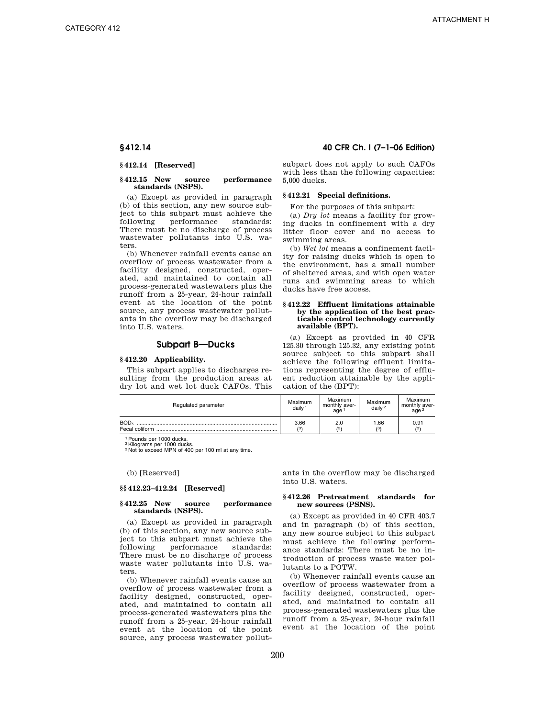# **§ 412.14 [Reserved]**

# **§ 412.15 New source performance standards (NSPS).**

(a) Except as provided in paragraph (b) of this section, any new source subject to this subpart must achieve the following performance standards: There must be no discharge of process wastewater pollutants into U.S. waters.

(b) Whenever rainfall events cause an overflow of process wastewater from a facility designed, constructed, operated, and maintained to contain all process-generated wastewaters plus the runoff from a 25-year, 24-hour rainfall event at the location of the point source, any process wastewater pollutants in the overflow may be discharged into U.S. waters.

# **Subpart B—Ducks**

# **§ 412.20 Applicability.**

This subpart applies to discharges resulting from the production areas at dry lot and wet lot duck CAFOs. This

# **§ 412.14 40 CFR Ch. I (7–1–06 Edition)**

subpart does not apply to such CAFOs with less than the following capacities: 5,000 ducks.

# **§ 412.21 Special definitions.**

For the purposes of this subpart:

(a) *Dry lot* means a facility for growing ducks in confinement with a dry litter floor cover and no access to swimming areas.

(b) *Wet lot* means a confinement facility for raising ducks which is open to the environment, has a small number of sheltered areas, and with open water runs and swimming areas to which ducks have free access.

# **§ 412.22 Effluent limitations attainable by the application of the best practicable control technology currently available (BPT).**

(a) Except as provided in 40 CFR 125.30 through 125.32, any existing point source subject to this subpart shall achieve the following effluent limitations representing the degree of effluent reduction attainable by the application of the (BPT):

| Regulated parameter | Maximum<br>daily <sup>1</sup> | Maximum<br>monthly aver-<br>age | Maximum<br>$d$ ailv <sup>2</sup> | Maximum<br>monthly aver-<br>age $^2$ |
|---------------------|-------------------------------|---------------------------------|----------------------------------|--------------------------------------|
| BOD <sub>5</sub>    | 3.66<br>13'                   | 2.0<br>(3)                      | 1.66<br>(3)                      | 0.91<br>$\mathcal{L}$                |

1Pounds per 1000 ducks.

<sup>2</sup>Kilograms per 1000 ducks.<br><sup>3</sup> Not to exceed MPN of 400 per 100 ml at any time.

(b) [Reserved]

# **§§ 412.23–412.24 [Reserved]**

# **§ 412.25 New source performance standards (NSPS).**

(a) Except as provided in paragraph (b) of this section, any new source subject to this subpart must achieve the following performance standards: There must be no discharge of process waste water pollutants into U.S. waters.

(b) Whenever rainfall events cause an overflow of process wastewater from a facility designed, constructed, operated, and maintained to contain all process-generated wastewaters plus the runoff from a 25-year, 24-hour rainfall event at the location of the point source, any process wastewater pollut-

ants in the overflow may be discharged into U.S. waters.

# **§ 412.26 Pretreatment standards for new sources (PSNS).**

(a) Except as provided in 40 CFR 403.7 and in paragraph (b) of this section, any new source subject to this subpart must achieve the following performance standards: There must be no introduction of process waste water pollutants to a POTW.

(b) Whenever rainfall events cause an overflow of process wastewater from a facility designed, constructed, operated, and maintained to contain all process-generated wastewaters plus the runoff from a 25-year, 24-hour rainfall event at the location of the point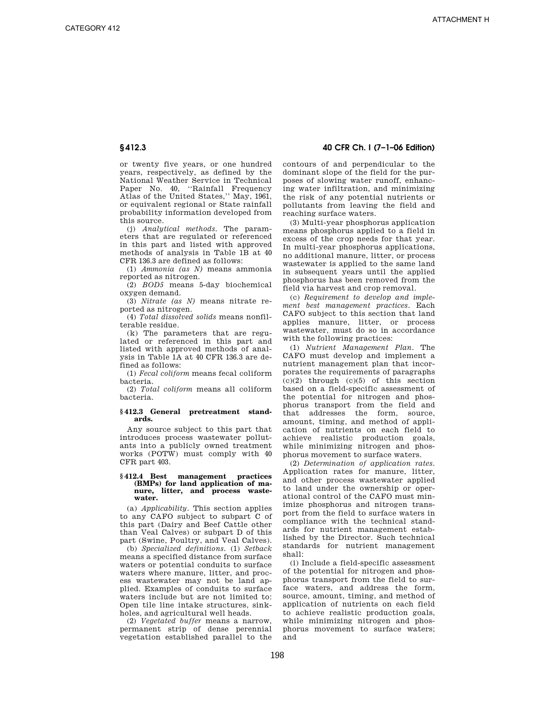# **§ 412.3 40 CFR Ch. I (7–1–06 Edition)**

or twenty five years, or one hundred years, respectively, as defined by the National Weather Service in Technical Paper No. 40, ''Rainfall Frequency Atlas of the United States,'' May, 1961, or equivalent regional or State rainfall probability information developed from this source.

(j) *Analytical methods.* The parameters that are regulated or referenced in this part and listed with approved methods of analysis in Table 1B at 40 CFR 136.3 are defined as follows:

(1) *Ammonia (as N)* means ammonia reported as nitrogen.

(2) *BOD5* means 5-day biochemical oxygen demand.

(3) *Nitrate (as N)* means nitrate reported as nitrogen.

(4) *Total dissolved solids* means nonfilterable residue.

(k) The parameters that are regulated or referenced in this part and listed with approved methods of analysis in Table 1A at 40 CFR 136.3 are defined as follows:

(1) *Fecal coliform* means fecal coliform bacteria.

(2) *Total coliform* means all coliform bacteria.

# **§ 412.3 General pretreatment standards.**

Any source subject to this part that introduces process wastewater pollutants into a publicly owned treatment works (POTW) must comply with 40 CFR part 403.

# **§ 412.4 Best management practices (BMPs) for land application of ma-nure, litter, and process wastewater.**

(a) *Applicability.* This section applies to any CAFO subject to subpart C of this part (Dairy and Beef Cattle other than Veal Calves) or subpart D of this part (Swine, Poultry, and Veal Calves).

(b) *Specialized definitions.* (1) *Setback*  means a specified distance from surface waters or potential conduits to surface waters where manure, litter, and process wastewater may not be land applied. Examples of conduits to surface waters include but are not limited to: Open tile line intake structures, sinkholes, and agricultural well heads.

(2) *Vegetated buffer* means a narrow, permanent strip of dense perennial vegetation established parallel to the contours of and perpendicular to the dominant slope of the field for the purposes of slowing water runoff, enhancing water infiltration, and minimizing the risk of any potential nutrients or pollutants from leaving the field and reaching surface waters.

(3) Multi-year phosphorus application means phosphorus applied to a field in excess of the crop needs for that year. In multi-year phosphorus applications, no additional manure, litter, or process wastewater is applied to the same land in subsequent years until the applied phosphorus has been removed from the field via harvest and crop removal.

(c) *Requirement to develop and implement best management practices.* Each CAFO subject to this section that land applies manure, litter, or process wastewater, must do so in accordance with the following practices:

(1) *Nutrient Management Plan.* The CAFO must develop and implement a nutrient management plan that incorporates the requirements of paragraphs  $(c)(2)$  through  $(c)(5)$  of this section based on a field-specific assessment of the potential for nitrogen and phosphorus transport from the field and that addresses the form, source, amount, timing, and method of application of nutrients on each field to achieve realistic production goals, while minimizing nitrogen and phosphorus movement to surface waters.

(2) *Determination of application rates.*  Application rates for manure, litter, and other process wastewater applied to land under the ownership or operational control of the CAFO must minimize phosphorus and nitrogen transport from the field to surface waters in compliance with the technical standards for nutrient management established by the Director. Such technical standards for nutrient management shall:

(i) Include a field-specific assessment of the potential for nitrogen and phosphorus transport from the field to surface waters, and address the form, source, amount, timing, and method of application of nutrients on each field to achieve realistic production goals, while minimizing nitrogen and phosphorus movement to surface waters; and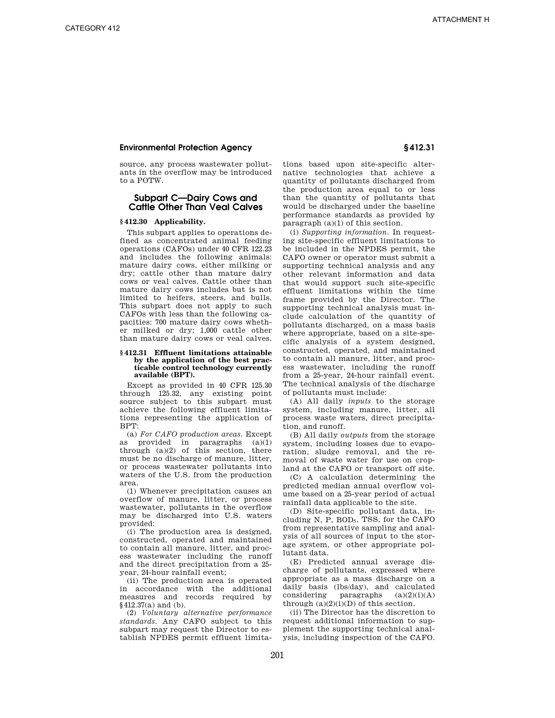source, any process wastewater pollutants in the overflow may be introduced to a POTW.

# **Subpart C—Dairy Cows and Cattle Other Than Veal Calves**

# **§ 412.30 Applicability.**

This subpart applies to operations defined as concentrated animal feeding operations (CAFOs) under 40 CFR 122.23 and includes the following animals: mature dairy cows, either milking or dry; cattle other than mature dairy cows or veal calves. Cattle other than mature dairy cows includes but is not limited to heifers, steers, and bulls. This subpart does not apply to such CAFOs with less than the following capacities: 700 mature dairy cows whether milked or dry; 1,000 cattle other than mature dairy cows or veal calves.

# **§ 412.31 Effluent limitations attainable by the application of the best practicable control technology currently available (BPT).**

Except as provided in 40 CFR 125.30 through 125.32, any existing point source subject to this subpart must achieve the following effluent limitations representing the application of BPT:

(a) *For CAFO production areas.* Except as provided in paragraphs  $(a)(1)$ through  $(a)(2)$  of this section, there must be no discharge of manure, litter, or process wastewater pollutants into waters of the U.S. from the production area.

(1) Whenever precipitation causes an overflow of manure, litter, or process wastewater, pollutants in the overflow may be discharged into U.S. waters provided:

(i) The production area is designed, constructed, operated and maintained to contain all manure, litter, and process wastewater including the runoff and the direct precipitation from a 25 year, 24-hour rainfall event;

(ii) The production area is operated in accordance with the additional measures and records required by §412.37(a) and (b).

(2) *Voluntary alternative performance standards.* Any CAFO subject to this subpart may request the Director to establish NPDES permit effluent limitations based upon site-specific alternative technologies that achieve a quantity of pollutants discharged from the production area equal to or less than the quantity of pollutants that would be discharged under the baseline performance standards as provided by paragraph (a)(1) of this section.

(i) *Supporting information.* In requesting site-specific effluent limitations to be included in the NPDES permit, the CAFO owner or operator must submit a supporting technical analysis and any other relevant information and data that would support such site-specific effluent limitations within the time frame provided by the Director. The supporting technical analysis must include calculation of the quantity of pollutants discharged, on a mass basis where appropriate, based on a site-specific analysis of a system designed, constructed, operated, and maintained to contain all manure, litter, and process wastewater, including the runoff from a 25-year, 24-hour rainfall event. The technical analysis of the discharge of pollutants must include:

(A) All daily *inputs* to the storage system, including manure, litter, all process waste waters, direct precipitation, and runoff.

(B) All daily *outputs* from the storage system, including losses due to evaporation, sludge removal, and the removal of waste water for use on cropland at the CAFO or transport off site.

(C) A calculation determining the predicted median annual overflow volume based on a 25-year period of actual rainfall data applicable to the site.

(D) Site-specific pollutant data, including N, P,  $BOD<sub>5</sub>$ , TSS, for the CAFO from representative sampling and analysis of all sources of input to the storage system, or other appropriate pollutant data.

(E) Predicted annual average discharge of pollutants, expressed where appropriate as a mass discharge on a daily basis (lbs/day), and calculated considering paragraphs  $(a)(2)(i)(A)$ through  $(a)(2)(i)(D)$  of this section.

(ii) The Director has the discretion to request additional information to supplement the supporting technical analysis, including inspection of the CAFO.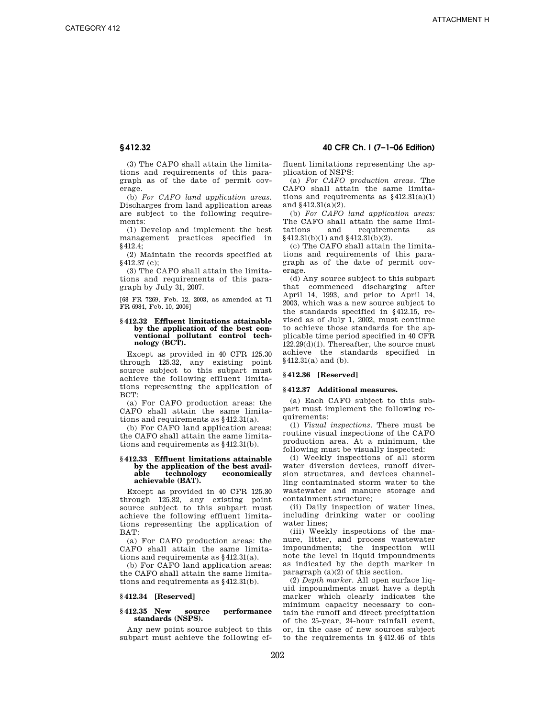(3) The CAFO shall attain the limitations and requirements of this paragraph as of the date of permit coverage.

(b) *For CAFO land application areas.*  Discharges from land application areas are subject to the following requirements:

(1) Develop and implement the best management practices specified in §412.4;

(2) Maintain the records specified at §412.37 (c);

(3) The CAFO shall attain the limitations and requirements of this paragraph by July 31, 2007.

[68 FR 7269, Feb. 12, 2003, as amended at 71 FR 6984, Feb. 10, 2006]

# **§ 412.32 Effluent limitations attainable by the application of the best conventional pollutant control technology (BCT).**

Except as provided in 40 CFR 125.30 through 125.32, any existing point source subject to this subpart must achieve the following effluent limitations representing the application of BCT:

(a) For CAFO production areas: the CAFO shall attain the same limitations and requirements as §412.31(a).

(b) For CAFO land application areas: the CAFO shall attain the same limitations and requirements as §412.31(b).

### **§ 412.33 Effluent limitations attainable by the application of the best avail-** $\bar{\textbf{technology}}$ **achievable (BAT).**

Except as provided in 40 CFR 125.30 through 125.32, any existing point source subject to this subpart must achieve the following effluent limitations representing the application of BAT:

(a) For CAFO production areas: the CAFO shall attain the same limitations and requirements as §412.31(a).

(b) For CAFO land application areas: the CAFO shall attain the same limitations and requirements as §412.31(b).

# **§ 412.34 [Reserved]**

# **§ 412.35 New source performance standards (NSPS).**

Any new point source subject to this subpart must achieve the following ef-

# **§ 412.32 40 CFR Ch. I (7–1–06 Edition)**

fluent limitations representing the application of NSPS:

(a) *For CAFO production areas.* The CAFO shall attain the same limitations and requirements as  $§412.31(a)(1)$ and §412.31(a)(2).

(b) *For CAFO land application areas:*  The CAFO shall attain the same limitations and requirements as §412.31(b)(1) and §412.31(b)(2).

(c) The CAFO shall attain the limitations and requirements of this paragraph as of the date of permit coverage.

(d) Any source subject to this subpart that commenced discharging after April 14, 1993, and prior to April 14, 2003, which was a new source subject to the standards specified in §412.15, revised as of July 1, 2002, must continue to achieve those standards for the applicable time period specified in 40 CFR 122.29(d)(1). Thereafter, the source must achieve the standards specified in §412.31(a) and (b).

### **§ 412.36 [Reserved]**

# **§ 412.37 Additional measures.**

(a) Each CAFO subject to this subpart must implement the following requirements:

(1) *Visual inspections.* There must be routine visual inspections of the CAFO production area. At a minimum, the following must be visually inspected:

(i) Weekly inspections of all storm water diversion devices, runoff diversion structures, and devices channelling contaminated storm water to the wastewater and manure storage and containment structure;

(ii) Daily inspection of water lines, including drinking water or cooling water lines;

(iii) Weekly inspections of the manure, litter, and process wastewater impoundments; the inspection will note the level in liquid impoundments as indicated by the depth marker in paragraph  $(a)(2)$  of this section.

(2) *Depth marker.* All open surface liquid impoundments must have a depth marker which clearly indicates the minimum capacity necessary to contain the runoff and direct precipitation of the 25-year, 24-hour rainfall event, or, in the case of new sources subject to the requirements in §412.46 of this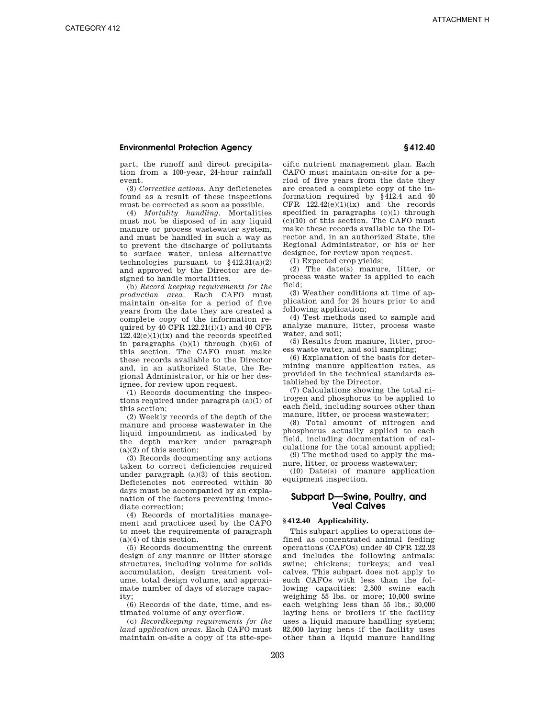part, the runoff and direct precipitation from a 100-year, 24-hour rainfall event.

(3) *Corrective actions.* Any deficiencies found as a result of these inspections must be corrected as soon as possible.

(4) *Mortality handling.* Mortalities must not be disposed of in any liquid manure or process wastewater system, and must be handled in such a way as to prevent the discharge of pollutants to surface water, unless alternative technologies pursuant to  $§412.31(a)(2)$ and approved by the Director are designed to handle mortalities.

(b) *Record keeping requirements for the production area.* Each CAFO must maintain on-site for a period of five years from the date they are created a complete copy of the information required by 40 CFR 122.21(i)(1) and 40 CFR  $122.42(e)(1)(ix)$  and the records specified in paragraphs (b)(1) through (b)(6) of this section. The CAFO must make these records available to the Director and, in an authorized State, the Regional Administrator, or his or her designee, for review upon request.

(1) Records documenting the inspections required under paragraph (a)(1) of this section;

(2) Weekly records of the depth of the manure and process wastewater in the liquid impoundment as indicated by the depth marker under paragraph (a)(2) of this section;

(3) Records documenting any actions taken to correct deficiencies required under paragraph (a)(3) of this section. Deficiencies not corrected within 30 days must be accompanied by an explanation of the factors preventing immediate correction;

(4) Records of mortalities management and practices used by the CAFO to meet the requirements of paragraph  $(a)(4)$  of this section.

(5) Records documenting the current design of any manure or litter storage structures, including volume for solids accumulation, design treatment volume, total design volume, and approximate number of days of storage capacity;

(6) Records of the date, time, and estimated volume of any overflow.

(c) *Recordkeeping requirements for the land application areas.* Each CAFO must maintain on-site a copy of its site-specific nutrient management plan. Each CAFO must maintain on-site for a period of five years from the date they are created a complete copy of the information required by §412.4 and 40 CFR  $122.42(e)(1)(ix)$  and the records specified in paragraphs (c)(1) through (c)(10) of this section. The CAFO must make these records available to the Director and, in an authorized State, the Regional Administrator, or his or her designee, for review upon request.

(1) Expected crop yields;

(2) The date(s) manure, litter, or process waste water is applied to each field;

(3) Weather conditions at time of application and for 24 hours prior to and following application;

(4) Test methods used to sample and analyze manure, litter, process waste water, and soil;

(5) Results from manure, litter, process waste water, and soil sampling;

(6) Explanation of the basis for determining manure application rates, as provided in the technical standards established by the Director.

(7) Calculations showing the total nitrogen and phosphorus to be applied to each field, including sources other than manure, litter, or process wastewater;

(8) Total amount of nitrogen and phosphorus actually applied to each field, including documentation of calculations for the total amount applied;

(9) The method used to apply the manure, litter, or process wastewater;

(10) Date(s) of manure application equipment inspection.

# **Subpart D—Swine, Poultry, and Veal Calves**

# **§ 412.40 Applicability.**

This subpart applies to operations defined as concentrated animal feeding operations (CAFOs) under 40 CFR 122.23 and includes the following animals: swine; chickens; turkeys; and veal calves. This subpart does not apply to such CAFOs with less than the following capacities: 2,500 swine each weighing 55 lbs. or more; 10,000 swine each weighing less than 55 lbs.; 30,000 laying hens or broilers if the facility uses a liquid manure handling system; 82,000 laying hens if the facility uses other than a liquid manure handling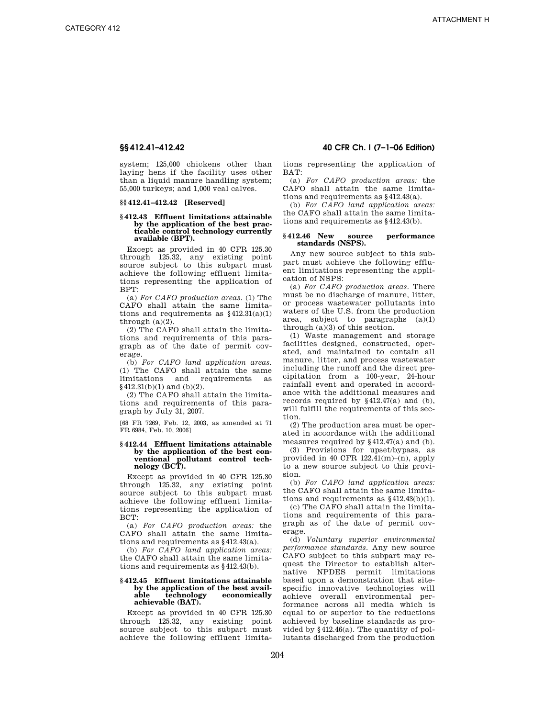system; 125,000 chickens other than laying hens if the facility uses other than a liquid manure handling system; 55,000 turkeys; and 1,000 veal calves.

# **§§ 412.41–412.42 [Reserved]**

### **§ 412.43 Effluent limitations attainable by the application of the best practicable control technology currently available (BPT).**

Except as provided in 40 CFR 125.30 through 125.32, any existing point source subject to this subpart must achieve the following effluent limitations representing the application of BPT:

(a) *For CAFO production areas.* (1) The CAFO shall attain the same limitations and requirements as  $§412.31(a)(1)$ through  $(a)(2)$ .

(2) The CAFO shall attain the limitations and requirements of this paragraph as of the date of permit coverage.

(b) *For CAFO land application areas.*  (1) The CAFO shall attain the same limitations and requirements as §412.31(b)(1) and (b)(2).

(2) The CAFO shall attain the limitations and requirements of this paragraph by July 31, 2007.

[68 FR 7269, Feb. 12, 2003, as amended at 71 FR 6984, Feb. 10, 2006]

# **§ 412.44 Effluent limitations attainable by the application of the best conventional pollutant control technology (BCT).**

Except as provided in 40 CFR 125.30 through 125.32, any existing point source subject to this subpart must achieve the following effluent limitations representing the application of BCT:

(a) *For CAFO production areas:* the CAFO shall attain the same limitations and requirements as §412.43(a).

(b) *For CAFO land application areas:*  the CAFO shall attain the same limitations and requirements as §412.43(b).

### **§ 412.45 Effluent limitations attainable by the application of the best avail-** $\textbf{technology}$  economically **achievable (BAT).**

Except as provided in 40 CFR 125.30 through 125.32, any existing point source subject to this subpart must achieve the following effluent limita-

# **§§ 412.41–412.42 40 CFR Ch. I (7–1–06 Edition)**

tions representing the application of  $BAT$ 

(a) *For CAFO production areas:* the CAFO shall attain the same limitations and requirements as §412.43(a).

(b) *For CAFO land application areas:*  the CAFO shall attain the same limitations and requirements as §412.43(b).

# **§ 412.46 New source performance standards (NSPS).**

Any new source subject to this subpart must achieve the following effluent limitations representing the application of NSPS:

(a) *For CAFO production areas.* There must be no discharge of manure, litter, or process wastewater pollutants into waters of the U.S. from the production area, subject to paragraphs (a)(1) through (a)(3) of this section.

(1) Waste management and storage facilities designed, constructed, operated, and maintained to contain all manure, litter, and process wastewater including the runoff and the direct precipitation from a 100-year, 24-hour rainfall event and operated in accordance with the additional measures and records required by §412.47(a) and (b), will fulfill the requirements of this section.

(2) The production area must be operated in accordance with the additional measures required by §412.47(a) and (b).

(3) Provisions for upset/bypass, as provided in 40 CFR  $122.41(m)$ –(n), apply to a new source subject to this provision.

(b) *For CAFO land application areas:*  the CAFO shall attain the same limitations and requirements as §412.43(b)(1).

(c) The CAFO shall attain the limitations and requirements of this paragraph as of the date of permit coverage.

(d) *Voluntary superior environmental performance standards.* Any new source CAFO subject to this subpart may request the Director to establish alternative NPDES permit limitations based upon a demonstration that sitespecific innovative technologies will achieve overall environmental performance across all media which is equal to or superior to the reductions achieved by baseline standards as provided by §412.46(a). The quantity of pollutants discharged from the production